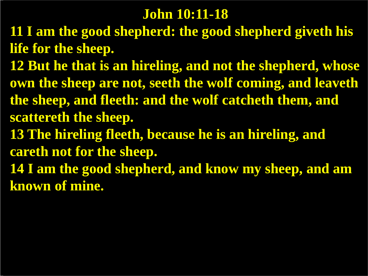#### **John 10:11-18**

- **11 I am the good shepherd: the good shepherd giveth his life for the sheep.**
- **12 But he that is an hireling, and not the shepherd, whose own the sheep are not, seeth the wolf coming, and leaveth the sheep, and fleeth: and the wolf catcheth them, and scattereth the sheep.**
- **13 The hireling fleeth, because he is an hireling, and careth not for the sheep.**
- **14 I am the good shepherd, and know my sheep, and am known of mine.**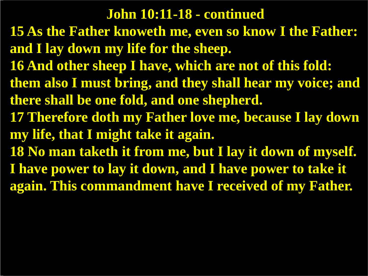#### **John 10:11-18 - continued**

- **15 As the Father knoweth me, even so know I the Father: and I lay down my life for the sheep.**
- **16 And other sheep I have, which are not of this fold:**
- **them also I must bring, and they shall hear my voice; and there shall be one fold, and one shepherd.**
- **17 Therefore doth my Father love me, because I lay down my life, that I might take it again.**
- **18 No man taketh it from me, but I lay it down of myself. I have power to lay it down, and I have power to take it again. This commandment have I received of my Father.**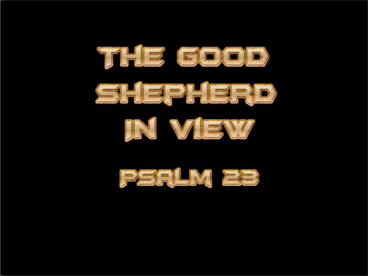





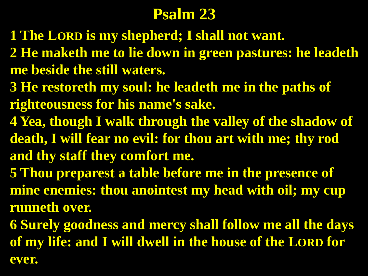## **Psalm 23**

- **1 The LORD is my shepherd; I shall not want.**
- **2 He maketh me to lie down in green pastures: he leadeth me beside the still waters.**
- **3 He restoreth my soul: he leadeth me in the paths of righteousness for his name's sake.**
- **4 Yea, though I walk through the valley of the shadow of death, I will fear no evil: for thou art with me; thy rod and thy staff they comfort me.**
- **5 Thou preparest a table before me in the presence of mine enemies: thou anointest my head with oil; my cup runneth over.**
- **6 Surely goodness and mercy shall follow me all the days of my life: and I will dwell in the house of the LORD for ever.**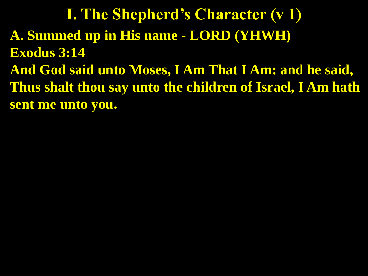**A. Summed up in His name - LORD (YHWH) Exodus 3:14 And God said unto Moses, I Am That I Am: and he said, Thus shalt thou say unto the children of Israel, I Am hath sent me unto you. I. The Shepherd's Character (v 1)**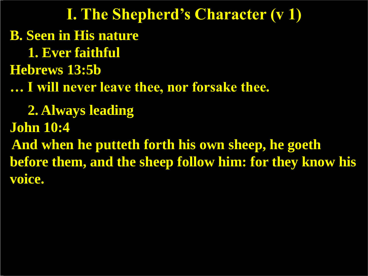**B. Seen in His nature 1. Ever faithful Hebrews 13:5b … I will never leave thee, nor forsake thee. 2. Always leading John 10:4 And when he putteth forth his own sheep, he goeth before them, and the sheep follow him: for they know his voice. I. The Shepherd's Character (v 1)**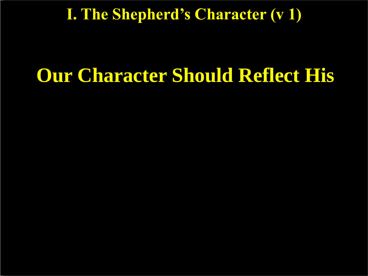#### **I. The Shepherd's Character (v 1)**

# **Our Character Should Reflect His**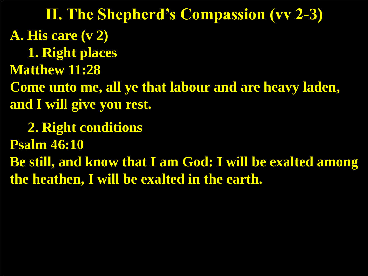**A. His care (v 2) 1. Right places Matthew 11:28 Come unto me, all ye that labour and are heavy laden, and I will give you rest. 2. Right conditions Psalm 46:10 Be still, and know that I am God: I will be exalted among the heathen, I will be exalted in the earth. II. The Shepherd's Compassion (vv 2-3)**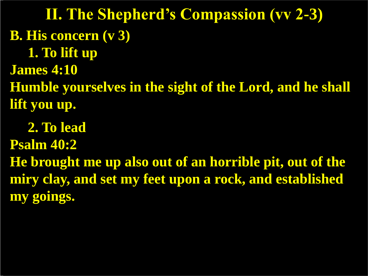**B. His concern (v 3) 1. To lift up James 4:10 Humble yourselves in the sight of the Lord, and he shall lift you up. II. The Shepherd's Compassion (vv 2-3)**

 **2. To lead Psalm 40:2 He brought me up also out of an horrible pit, out of the miry clay, and set my feet upon a rock, and established my goings.**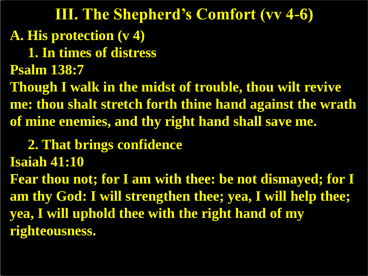**A. His protection (v 4) 1. In times of distress Psalm 138:7 Though I walk in the midst of trouble, thou wilt revive me: thou shalt stretch forth thine hand against the wrath of mine enemies, and thy right hand shall save me. III. The Shepherd's Comfort (vv 4-6)**

 **2. That brings confidence**

**Isaiah 41:10**

**Fear thou not; for I am with thee: be not dismayed; for I am thy God: I will strengthen thee; yea, I will help thee; yea, I will uphold thee with the right hand of my righteousness.**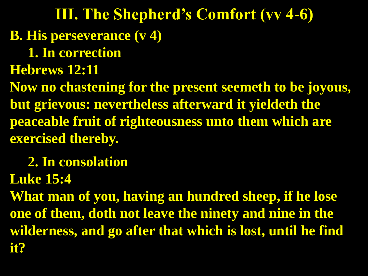**B. His perseverance (v 4) 1. In correction Hebrews 12:11 Now no chastening for the present seemeth to be joyous, but grievous: nevertheless afterward it yieldeth the peaceable fruit of righteousness unto them which are exercised thereby. 2. In consolation III. The Shepherd's Comfort (vv 4-6)**

**Luke 15:4**

**What man of you, having an hundred sheep, if he lose one of them, doth not leave the ninety and nine in the wilderness, and go after that which is lost, until he find it?**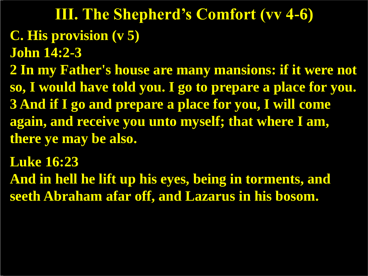## **C. His provision (v 5) John 14:2-3 III. The Shepherd's Comfort (vv 4-6)**

**2 In my Father's house are many mansions: if it were not so, I would have told you. I go to prepare a place for you. 3 And if I go and prepare a place for you, I will come again, and receive you unto myself; that where I am, there ye may be also.**

**Luke 16:23**

**And in hell he lift up his eyes, being in torments, and seeth Abraham afar off, and Lazarus in his bosom.**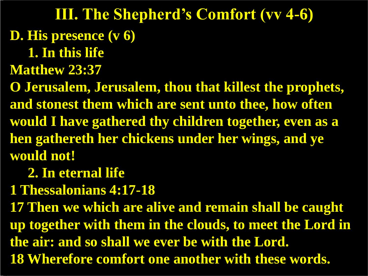**D. His presence (v 6) 1. In this life III. The Shepherd's Comfort (vv 4-6)**

**Matthew 23:37**

**O Jerusalem, Jerusalem, thou that killest the prophets, and stonest them which are sent unto thee, how often would I have gathered thy children together, even as a hen gathereth her chickens under her wings, and ye would not!**

 **2. In eternal life**

**1 Thessalonians 4:17-18**

**17 Then we which are alive and remain shall be caught up together with them in the clouds, to meet the Lord in the air: and so shall we ever be with the Lord. 18 Wherefore comfort one another with these words.**